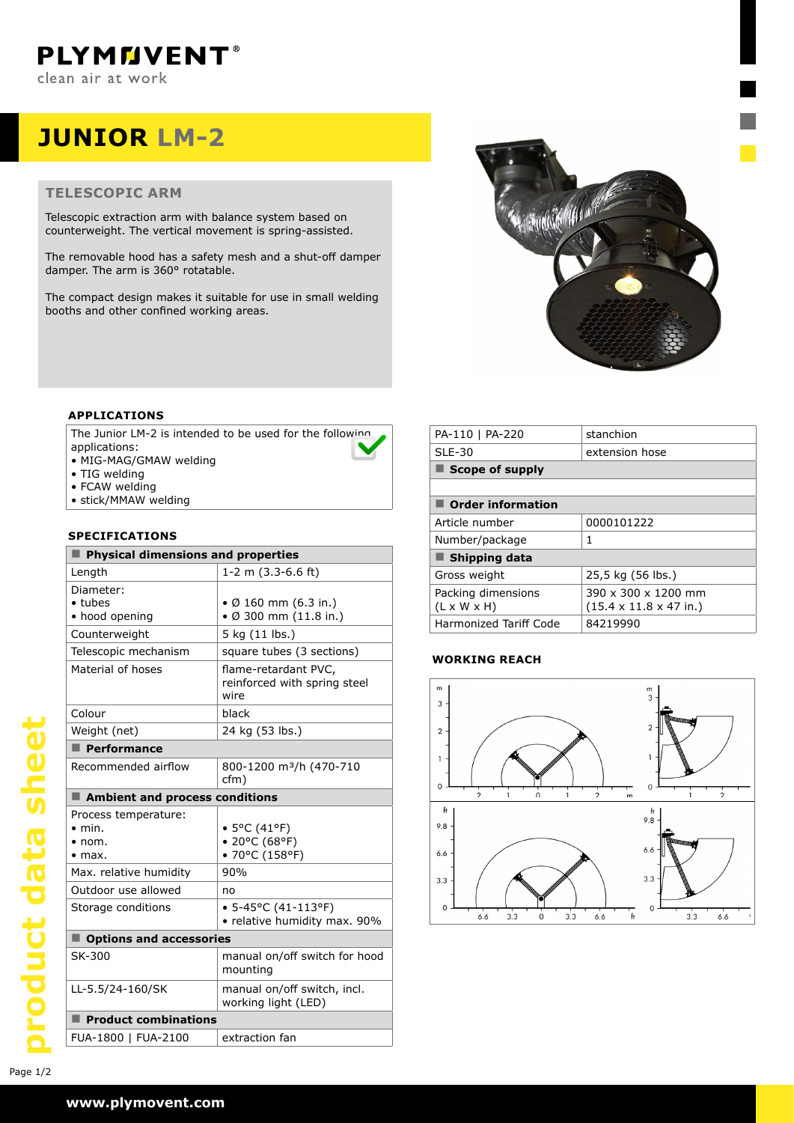# **JUNIOR LM-2**

# **TELESCOPIC ARM**

Telescopic extraction arm with balance system based on counterweight. The vertical movement is spring-assisted.

The removable hood has a safety mesh and a shut-off damper damper. The arm is 360° rotatable.

The compact design makes it suitable for use in small welding booths and other confined working areas.



# **APPLICATIONS**

The Junior LM-2 is intended to be used for the following applications:

- MIG-MAG/GMAW welding
- TIG welding
- FCAW welding
- stick/MMAW welding

### **SPECIFICATIONS**

| Physical dimensions and properties                                         |                                                              |
|----------------------------------------------------------------------------|--------------------------------------------------------------|
| Length                                                                     | 1-2 m $(3.3-6.6$ ft)                                         |
| Diameter:<br>$\bullet$ tubes<br>• hood opening                             | • Ø 160 mm (6.3 in.)<br>$\bullet$ Ø 300 mm (11.8 in.)        |
| Counterweight                                                              | 5 kg (11 lbs.)                                               |
| Telescopic mechanism                                                       | square tubes (3 sections)                                    |
| Material of hoses                                                          | flame-retardant PVC.<br>reinforced with spring steel<br>wire |
| Colour                                                                     | black                                                        |
| Weight (net)                                                               | 24 kg (53 lbs.)                                              |
| $\blacksquare$ Performance                                                 |                                                              |
| Recommended airflow                                                        | 800-1200 m <sup>3</sup> /h (470-710<br>cfm)                  |
| Ambient and process conditions                                             |                                                              |
| Process temperature:<br>$\bullet$ min.<br>$\bullet$ nom.<br>$\bullet$ max. | • 5°C (41°F)<br>• 20°C (68°F)<br>• 70°C (158°F)              |
| Max. relative humidity                                                     | 90%                                                          |
| Outdoor use allowed                                                        | no                                                           |
| Storage conditions                                                         | • 5-45°C (41-113°F)<br>• relative humidity max. 90%          |
| Options and accessories                                                    |                                                              |
| SK-300                                                                     | manual on/off switch for hood<br>mounting                    |
| LL-5.5/24-160/SK                                                           | manual on/off switch, incl.<br>working light (LED)           |
| <b>Product combinations</b>                                                |                                                              |
| FUA-1800   FUA-2100                                                        | extraction fan                                               |

| PA-110   PA-220                               | stanchion                                                  |
|-----------------------------------------------|------------------------------------------------------------|
| $SLE-30$                                      | extension hose                                             |
| <b>Scope of supply</b>                        |                                                            |
|                                               |                                                            |
| <b>Order information</b>                      |                                                            |
| Article number                                | 0000101222                                                 |
| Number/package                                | 1                                                          |
| Shipping data                                 |                                                            |
| Gross weight                                  | 25,5 kg (56 lbs.)                                          |
| Packing dimensions<br>$(L \times W \times H)$ | 390 x 300 x 1200 mm<br>$(15.4 \times 11.8 \times 47)$ in.) |
| Harmonized Tariff Code                        | 84219990                                                   |

# **WORKING REACH**



product data sheet Page 1/2**product data sheet**

Page 1/2